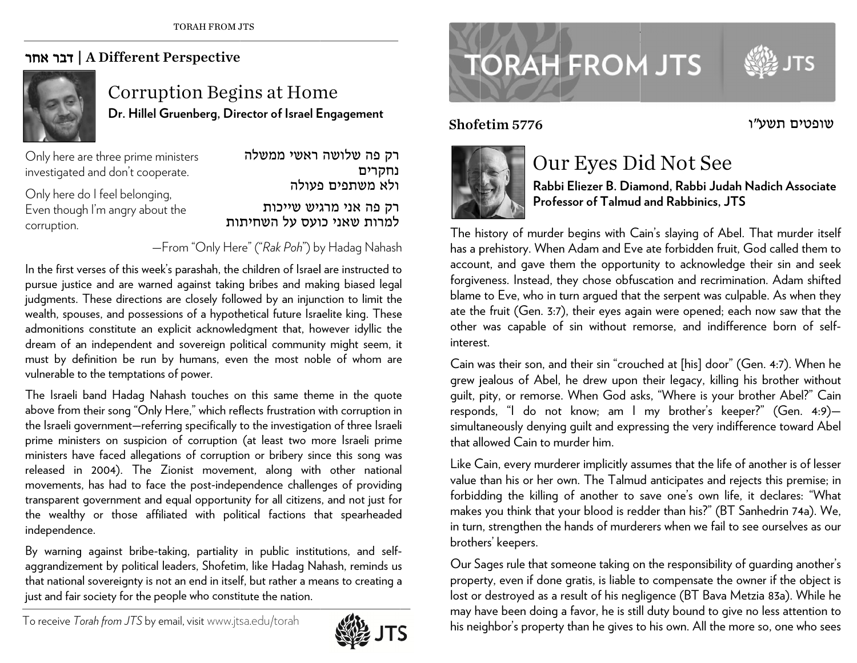## | דבר אחר A Different Perspective



## Corruption Begins at Home **Dr. Hillel GGruenberg, Dir rector of Israel EEngagement**

Only here a are three prime mministers investigated and don't cooperate.

Only here d do I feel belongin ng, Even though I'm angry about the corruption.

רק פה אני מרגיש שייכות<br>למרות שאני כועס על השחיתות רק פה שלושה ראשי ממשלה ולא משתפים פעולה נחקרים

—From "Only Here" ("*Rak Poh*") by Hadag Nahash

In the first verses of this week's parashah, the children of Israel are instructed to pursue justice and are warned against taking bribes and making biased legal judgments. These directions are closely followed by an injunction to limit the wealth, spouses, and possessions of a hypothetical future Israelite king. These admonitions constitute an explicit acknowledgment that, however idyllic the dream of an independent and sovereign political community might seem, it must by definition be run by humans, even the most noble of whom are vulnerable to the temptations of power.

The Israeli band Hadag Nahash touches on this same theme in the quote above from their song "Only Here," which reflects frustration with corruption in the Israeli government—referring specifically to the investigation of three Israeli prime ministers on suspicion of corruption (at least two more Israeli prime ministers have faced allegations of corruption or bribery since this song was released in 2004). The Zionist movement, along with other national movements, has had to face the post-independence challenges of providing transparent government an d d equal opportun ity for all citizens s, and not just for the wealthy or those affiliated with political factions that spearheaded independen nce. eeeteeniesl r<br>J

By warning against bribe-taking, partiality in public institutions, and selfaggrandizement by political leaders, Shofetim, like Hadag Nahash, reminds us that national sovereignty is not an end in itself, but rather a means to creating a just and fair society for the people who constitute the nation.



## **TORAH FROM JTS**

Shofetim 5776



## Our Eyes Did Not See

**Rabbbi Eliezer B. Diammond, Rabbi J uudah Nadich Asssociate Prof e essor of Talmu d d and Rabbinics, JTS** 

The history of murder begins with Cain's slaying of Abel. That murder itself has a prehistory. When Adam and Eve ate forbidden fruit, God called them to ( account, and gave them the opportunity to acknowledge their sin and seek forgiveness. Instead, they chose obfuscation and recrimination. Adam shifted blame to Eve, who in turn argued that the serpent was culpable. As when they ate the fruit (Gen. 3:7), their eyes again were opened; each now saw that the other was capable of sin without remorse, and indifference born of selfinteresst. Shofetim 5776<br>
D<br>
Ra<br>
Pr<br>
The history of mun<br>
has a prehistory. W<br>
account, and gave<br>
forgiveness. Instead<br>
blame to Eve, who<br>
ate the fruit (Gen.<br>
other was capable<br>
interest.<br>
Cain was their son,<br>
grew jealous of At<br>
gui

Cain was their son, and their sin "crouched at [his] door" (Gen. 4:7). When he grew jealous of Abel, he drew upon their legacy, killing his brother without guilt, pity, or remorse. When God asks, "Where is your brother Abel?" Cain responds, "I do not know; am I my brother's keeper?" (Gen. 4:9) simultaneously denying guilt and expressing the very indifference toward Abel that allowed Cain to murder him.

Like Cain, every murderer implicitly assumes that the life of another is of lesser value than his or her own. The Talmud anticipates and rejects this premise; in forbid ding the killing of another to s save one's own life, it declares : "What makes you think that your blood is redder than his?" (BT Sanhedrin 74a). We, in turn, strengthen the hands of murderers when we fail to see ourselves as our broth e ers' keepers.

Our Sages rule that someone taking on the responsibility of guarding another's property, even if done gratis, is liable to compensate the owner if the object is lost or destroyed as a result of his negligence (BT Bava Metzia 83a). While he may have been doing a favor, he is still duty bound to give no less attention to his neighbor's property than he gives to his own. All the more so, one who sees

שופטים תשע״ו